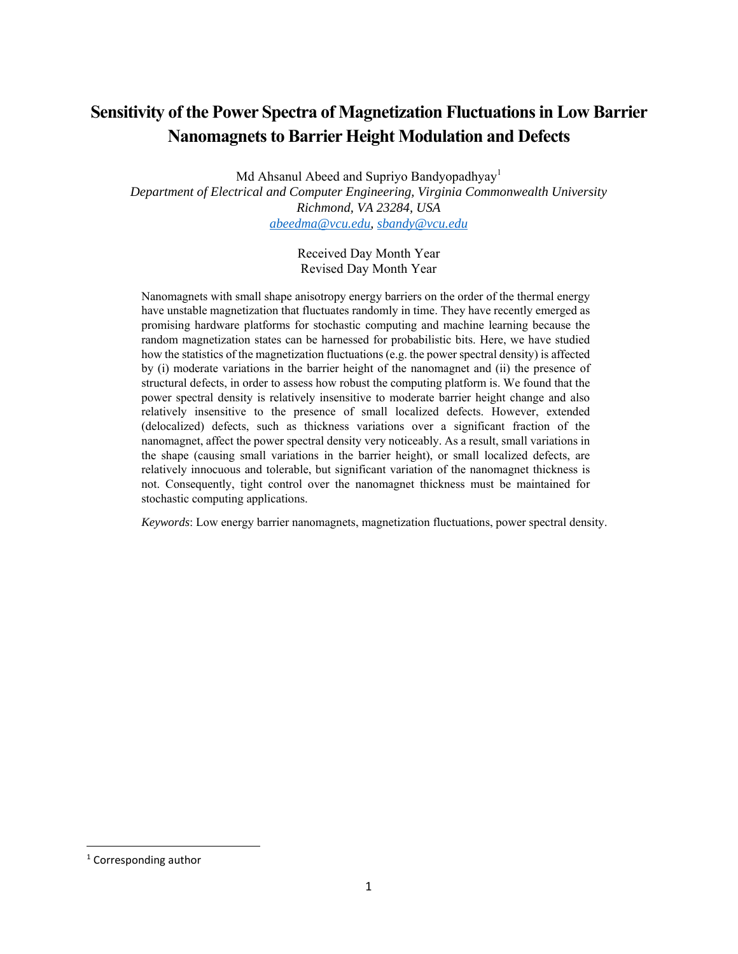# **Sensitivity of the Power Spectra of Magnetization Fluctuations in Low Barrier Nanomagnets to Barrier Height Modulation and Defects**

Md Ahsanul Abeed and Supriyo Bandyopadhyay<sup>1</sup> *Department of Electrical and Computer Engineering, Virginia Commonwealth University Richmond, VA 23284, USA abeedma@vcu.edu, sbandy@vcu.edu*

> Received Day Month Year Revised Day Month Year

Nanomagnets with small shape anisotropy energy barriers on the order of the thermal energy have unstable magnetization that fluctuates randomly in time. They have recently emerged as promising hardware platforms for stochastic computing and machine learning because the random magnetization states can be harnessed for probabilistic bits. Here, we have studied how the statistics of the magnetization fluctuations (e.g. the power spectral density) is affected by (i) moderate variations in the barrier height of the nanomagnet and (ii) the presence of structural defects, in order to assess how robust the computing platform is. We found that the power spectral density is relatively insensitive to moderate barrier height change and also relatively insensitive to the presence of small localized defects. However, extended (delocalized) defects, such as thickness variations over a significant fraction of the nanomagnet, affect the power spectral density very noticeably. As a result, small variations in the shape (causing small variations in the barrier height), or small localized defects, are relatively innocuous and tolerable, but significant variation of the nanomagnet thickness is not. Consequently, tight control over the nanomagnet thickness must be maintained for stochastic computing applications.

*Keywords*: Low energy barrier nanomagnets, magnetization fluctuations, power spectral density.

<sup>&</sup>lt;sup>1</sup> Corresponding author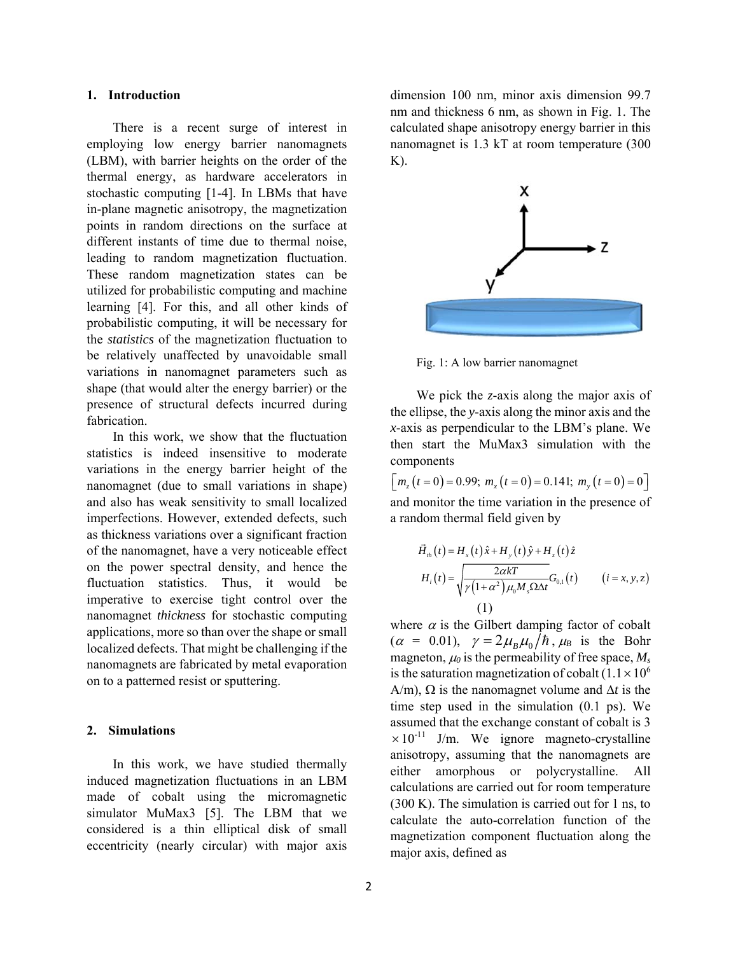## **1. Introduction**

There is a recent surge of interest in employing low energy barrier nanomagnets (LBM), with barrier heights on the order of the thermal energy, as hardware accelerators in stochastic computing [1-4]. In LBMs that have in-plane magnetic anisotropy, the magnetization points in random directions on the surface at different instants of time due to thermal noise, leading to random magnetization fluctuation. These random magnetization states can be utilized for probabilistic computing and machine learning [4]. For this, and all other kinds of probabilistic computing, it will be necessary for the *statistics* of the magnetization fluctuation to be relatively unaffected by unavoidable small variations in nanomagnet parameters such as shape (that would alter the energy barrier) or the presence of structural defects incurred during fabrication.

In this work, we show that the fluctuation statistics is indeed insensitive to moderate variations in the energy barrier height of the nanomagnet (due to small variations in shape) and also has weak sensitivity to small localized imperfections. However, extended defects, such as thickness variations over a significant fraction of the nanomagnet, have a very noticeable effect on the power spectral density, and hence the fluctuation statistics. Thus, it would be imperative to exercise tight control over the nanomagnet *thickness* for stochastic computing applications, more so than over the shape or small localized defects. That might be challenging if the nanomagnets are fabricated by metal evaporation on to a patterned resist or sputtering.

#### **2. Simulations**

In this work, we have studied thermally induced magnetization fluctuations in an LBM made of cobalt using the micromagnetic simulator MuMax3 [5]. The LBM that we considered is a thin elliptical disk of small eccentricity (nearly circular) with major axis

dimension 100 nm, minor axis dimension 99.7 nm and thickness 6 nm, as shown in Fig. 1. The calculated shape anisotropy energy barrier in this nanomagnet is 1.3 kT at room temperature (300  $K$ ).



Fig. 1: A low barrier nanomagnet

We pick the *z*-axis along the major axis of the ellipse, the *y*-axis along the minor axis and the *x*-axis as perpendicular to the LBM's plane. We then start the MuMax3 simulation with the components

and monitor the time variation in the presence of a random thermal field given by  $\lceil m_{\nu}(t=0) = 0.99; m_{\nu}(t=0) = 0.141; m_{\nu}(t=0) = 0 \rceil$ 

$$
\vec{H}_{th}(t) = H_x(t)\hat{x} + H_y(t)\hat{y} + H_z(t)\hat{z}
$$
\n
$$
H_i(t) = \sqrt{\frac{2\alpha kT}{\gamma(1+\alpha^2)\mu_0 M_s \Omega \Delta t}} G_{0,1}(t) \qquad (i = x, y, z)
$$
\n(1)

where  $\alpha$  is the Gilbert damping factor of cobalt  $(\alpha = 0.01)$ ,  $\gamma = 2\mu_B\mu_0/\hbar$ ,  $\mu_B$  is the Bohr magneton,  $\mu_0$  is the permeability of free space,  $M_s$ is the saturation magnetization of cobalt  $(1.1 \times 10^6$  $A/m$ ),  $\Omega$  is the nanomagnet volume and  $\Delta t$  is the time step used in the simulation (0.1 ps). We assumed that the exchange constant of cobalt is 3  $\times 10^{-11}$  J/m. We ignore magneto-crystalline anisotropy, assuming that the nanomagnets are either amorphous or polycrystalline. All calculations are carried out for room temperature (300 K). The simulation is carried out for 1 ns, to calculate the auto-correlation function of the magnetization component fluctuation along the major axis, defined as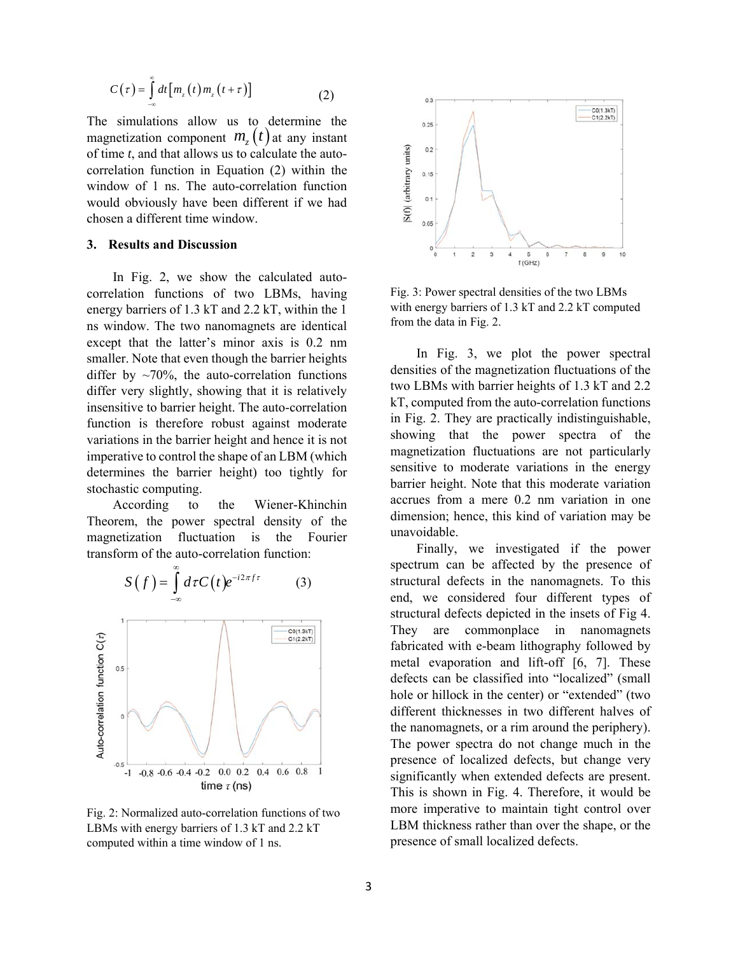$$
C(\tau) = \int_{-\infty}^{\infty} dt \big[ m_z(t) m_z(t+\tau) \big]
$$
 (2)

The simulations allow us to determine the magnetization component  $m<sub>z</sub>(t)$  at any instant of time *t*, and that allows us to calculate the autocorrelation function in Equation (2) within the window of 1 ns. The auto-correlation function would obviously have been different if we had chosen a different time window.

# **3. Results and Discussion**

In Fig. 2, we show the calculated autocorrelation functions of two LBMs, having energy barriers of 1.3 kT and 2.2 kT, within the 1 ns window. The two nanomagnets are identical except that the latter's minor axis is 0.2 nm smaller. Note that even though the barrier heights differ by  $\sim$ 70%, the auto-correlation functions differ very slightly, showing that it is relatively insensitive to barrier height. The auto-correlation function is therefore robust against moderate variations in the barrier height and hence it is not imperative to control the shape of an LBM (which determines the barrier height) too tightly for stochastic computing.

According to the Wiener-Khinchin Theorem, the power spectral density of the magnetization fluctuation is the Fourier transform of the auto-correlation function:



Fig. 2: Normalized auto-correlation functions of two LBMs with energy barriers of 1.3 kT and 2.2 kT computed within a time window of 1 ns.



Fig. 3: Power spectral densities of the two LBMs with energy barriers of 1.3 kT and 2.2 kT computed from the data in Fig. 2.

In Fig. 3, we plot the power spectral densities of the magnetization fluctuations of the two LBMs with barrier heights of 1.3 kT and 2.2 kT, computed from the auto-correlation functions in Fig. 2. They are practically indistinguishable, showing that the power spectra of the magnetization fluctuations are not particularly sensitive to moderate variations in the energy barrier height. Note that this moderate variation accrues from a mere 0.2 nm variation in one dimension; hence, this kind of variation may be unavoidable.

Finally, we investigated if the power spectrum can be affected by the presence of structural defects in the nanomagnets. To this end, we considered four different types of structural defects depicted in the insets of Fig 4. They are commonplace in nanomagnets fabricated with e-beam lithography followed by metal evaporation and lift-off [6, 7]. These defects can be classified into "localized" (small hole or hillock in the center) or "extended" (two different thicknesses in two different halves of the nanomagnets, or a rim around the periphery). The power spectra do not change much in the presence of localized defects, but change very significantly when extended defects are present. This is shown in Fig. 4. Therefore, it would be more imperative to maintain tight control over LBM thickness rather than over the shape, or the presence of small localized defects.